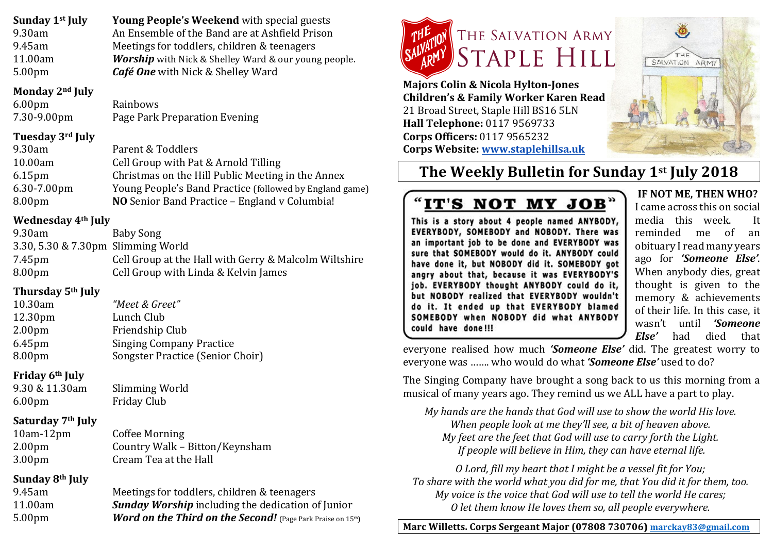| Young People's Weekend with special guests                  |
|-------------------------------------------------------------|
| An Ensemble of the Band are at Ashfield Prison              |
| Meetings for toddlers, children & teenagers                 |
| <b>Worship</b> with Nick & Shelley Ward & our young people. |
| <b>Café One</b> with Nick & Shelley Ward                    |
|                                                             |

### **Monday 2nd July**

6.00pm Rainbows 7.30-9.00pm Page Park Preparation Evening

# **Tuesday 3rd July**

| 9.30am             | Parent & Toddlers                                       |
|--------------------|---------------------------------------------------------|
| 10.00am            | Cell Group with Pat & Arnold Tilling                    |
| 6.15 <sub>pm</sub> | Christmas on the Hill Public Meeting in the Annex       |
| 6.30-7.00pm        | Young People's Band Practice (followed by England game) |
| 8.00 <sub>pm</sub> | NO Senior Band Practice - England v Columbia!           |
|                    |                                                         |

# **Wednesday 4th July**

| 9.30am                             | Baby Song                                             |
|------------------------------------|-------------------------------------------------------|
| 3.30, 5.30 & 7.30pm Slimming World |                                                       |
| 7.45pm                             | Cell Group at the Hall with Gerry & Malcolm Wiltshire |
| 8.00 <sub>pm</sub>                 | Cell Group with Linda & Kelvin James                  |
|                                    |                                                       |

# **Thursday 5th July**

| 10.30am            | "Meet & Greet"                   |
|--------------------|----------------------------------|
| 12.30pm            | Lunch Club                       |
| 2.00 <sub>pm</sub> | Friendship Club                  |
| 6.45 <sub>pm</sub> | <b>Singing Company Practice</b>  |
| 8.00pm             | Songster Practice (Senior Choir) |

# **Friday 6th July**

9.30 & 11.30am Slimming World 6.00pm Friday Club

# **Saturday 7th July**

10am-12pm Coffee Morning 2.00pm Country Walk – Bitton/Keynsham 3.00pm Cream Tea at the Hall

# **Sunday 8th July**

9.45am Meetings for toddlers, children & teenagers 11.00am *Sunday Worship* including the dedication of Junior 5.00pm *Word on the Third on the Second!* (Page Park Praise on 15<sup>th</sup>)



**Majors Colin & Nicola Hylton-Jones Children's & Family Worker Karen Read** 21 Broad Street, Staple Hill BS16 5LN **Hall Telephone:** 0117 9569733 **Corps Officers:** 0117 9565232 **Corps Website: www.staplehillsa.uk**



# **The Weekly Bulletin for Sunday 1st July 2018**

# "IT'S NOT MY JOB"

This is a story about 4 people named ANYBODY, EVERYBODY, SOMEBODY and NOBODY. There was an important job to be done and EVERYBODY was sure that SOMEBODY would do it. ANYBODY could have done it, but NOBODY did it. SOMEBODY got angry about that, because it was EVERYBODY'S job. EVERYBODY thought ANYBODY could do it, but NOBODY realized that EVERYBODY wouldn't do it. It ended up that EVERYBODY blamed SOMEBODY when NOBODY did what ANYBODY could have done!!!

**IF NOT ME, THEN WHO?** I came across this on social media this week. It reminded me of an obituary I read many years ago for *'Someone Else'*. When anybody dies, great thought is given to the memory & achievements of their life. In this case, it wasn't until *'Someone Else'* had died that

everyone realised how much *'Someone Else'* did. The greatest worry to everyone was ……. who would do what *'Someone Else'* used to do?

The Singing Company have brought a song back to us this morning from a musical of many years ago. They remind us we ALL have a part to play.

*My hands are the hands that God will use to show the world His love. When people look at me they'll see, a bit of heaven above. My* feet are the feet that God will use to carry forth the Light. *If people will believe in Him, they can have eternal life.* 

*O Lord, fill my heart that I might be a vessel fit for You;* To share with the world what you did for me, that You did it for them, too. *My voice is the voice that God will use to tell the world He cares; O let them know He loves them so, all people everywhere.*

**Marc Willetts. Corps Sergeant Major (07808 730706) marckay83@gmail.com**